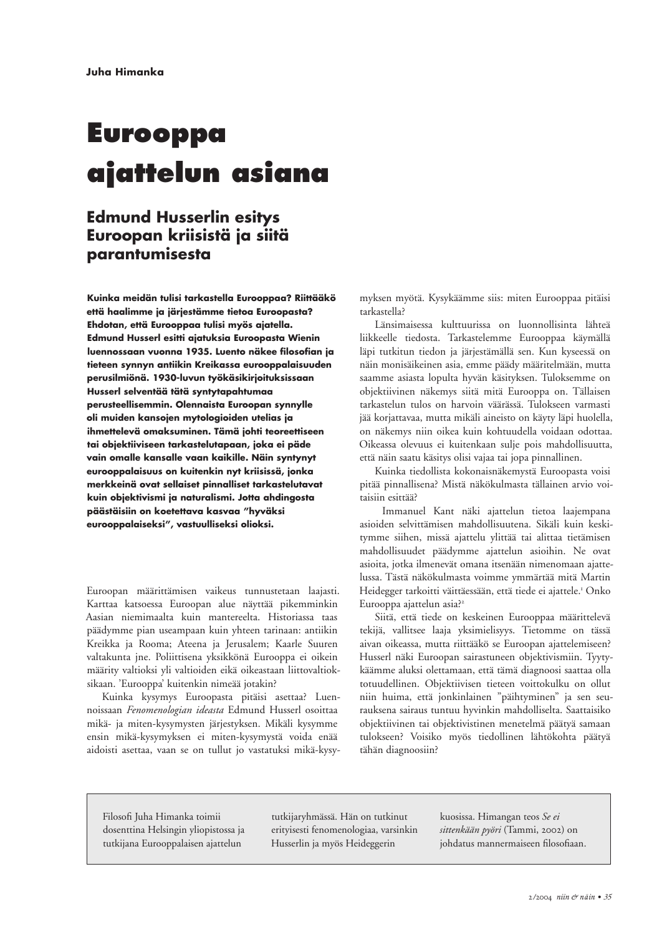# **Eurooppa** ajattelun asiana

# **Edmund Husserlin esitys** Euroopan kriisistä ja siitä parantumisesta

Kuinka meidän tulisi tarkastella Eurooppaa? Riittääkö että haalimme ja järjestämme tietoa Euroopasta? Ehdotan, että Eurooppaa tulisi myös ajatella. Edmund Husserl esitti ajatuksia Euroopasta Wienin luennossaan vuonna 1935. Luento näkee filosofian ja tieteen synnyn antiikin Kreikassa eurooppalaisuuden perusilmiönä. 1930-luvun työkäsikirjoituksissaan Husserl selventää tätä syntytapahtumaa perusteellisemmin. Olennaista Euroopan synnylle oli muiden kansojen mytologioiden utelias ja ihmettelevä omaksuminen. Tämä johti teoreettiseen tai objektiiviseen tarkastelutapaan, joka ei päde vain omalle kansalle vaan kaikille. Näin syntynyt eurooppalaisuus on kuitenkin nyt kriisissä, jonka merkkeinä ovat sellaiset pinnalliset tarkastelutavat kuin objektivismi ja naturalismi. Jotta ahdingosta päästäisiin on koetettava kasvaa "hyväksi eurooppalaiseksi", vastuulliseksi olioksi.

Euroopan määrittämisen vaikeus tunnustetaan laajasti. Karttaa katsoessa Euroopan alue näyttää pikemminkin Aasian niemimaalta kuin mantereelta. Historiassa taas päädymme pian useampaan kuin yhteen tarinaan: antiikin Kreikka ja Rooma; Ateena ja Jerusalem; Kaarle Suuren valtakunta jne. Poliittisena yksikkönä Eurooppa ei oikein määrity valtioksi yli valtioiden eikä oikeastaan liittovaltioksikaan. 'Eurooppa' kuitenkin nimeää jotakin?

Kuinka kysymys Euroopasta pitäisi asettaa? Luennoissaan Fenomenologian ideasta Edmund Husserl osoittaa mikä- ja miten-kysymysten järjestyksen. Mikäli kysymme ensin mikä-kysymyksen ei miten-kysymystä voida enää aidoisti asettaa, vaan se on tullut jo vastatuksi mikä-kysymyksen myötä. Kysykäämme siis: miten Eurooppaa pitäisi tarkastella?

Länsimaisessa kulttuurissa on luonnollisinta lähteä liikkeelle tiedosta. Tarkastelemme Eurooppaa käymällä läpi tutkitun tiedon ja järjestämällä sen. Kun kyseessä on näin monisäikeinen asia, emme päädy määritelmään, mutta saamme asiasta lopulta hyvän käsityksen. Tuloksemme on objektiivinen näkemys siitä mitä Eurooppa on. Tällaisen tarkastelun tulos on harvoin väärässä. Tulokseen varmasti jää korjattavaa, mutta mikäli aineisto on käyty läpi huolella, on näkemys niin oikea kuin kohtuudella voidaan odottaa. Oikeassa olevuus ei kuitenkaan sulje pois mahdollisuutta, että näin saatu käsitys olisi vajaa tai jopa pinnallinen.

Kuinka tiedollista kokonaisnäkemystä Euroopasta voisi pitää pinnallisena? Mistä näkökulmasta tällainen arvio voitaisiin esittää?

Immanuel Kant näki ajattelun tietoa laajempana asioiden selvittämisen mahdollisuutena. Sikäli kuin keskitymme siihen, missä ajattelu ylittää tai alittaa tietämisen mahdollisuudet päädymme ajattelun asioihin. Ne ovat asioita, jotka ilmenevät omana itsenään nimenomaan ajattelussa. Tästä näkökulmasta voimme ymmärtää mitä Martin Heidegger tarkoitti väittäessään, että tiede ei ajattele.<sup>1</sup> Onko Eurooppa ajattelun asia?<sup>2</sup>

Siitä, että tiede on keskeinen Eurooppaa määrittelevä tekijä, vallitsee laaja yksimielisyys. Tietomme on tässä aivan oikeassa, mutta riittääkö se Euroopan ajattelemiseen? Husserl näki Euroopan sairastuneen objektivismiin. Tyytykäämme aluksi olettamaan, että tämä diagnoosi saattaa olla totuudellinen. Objektiivisen tieteen voittokulku on ollut niin huima, että jonkinlainen "päihtyminen" ja sen seurauksena sairaus tuntuu hyvinkin mahdolliselta. Saattaisiko objektiivinen tai objektivistinen menetelmä päätyä samaan tulokseen? Voisiko myös tiedollinen lähtökohta päätyä tähän diagnoosiin?

Filosofi Juha Himanka toimii dosenttina Helsingin yliopistossa ja tutkijana Eurooppalaisen ajattelun

tutkijaryhmässä. Hän on tutkinut erityisesti fenomenologiaa, varsinkin Husserlin ja myös Heideggerin

kuosissa. Himangan teos Se ei sittenkään pyöri (Tammi, 2002) on johdatus mannermaiseen filosofiaan.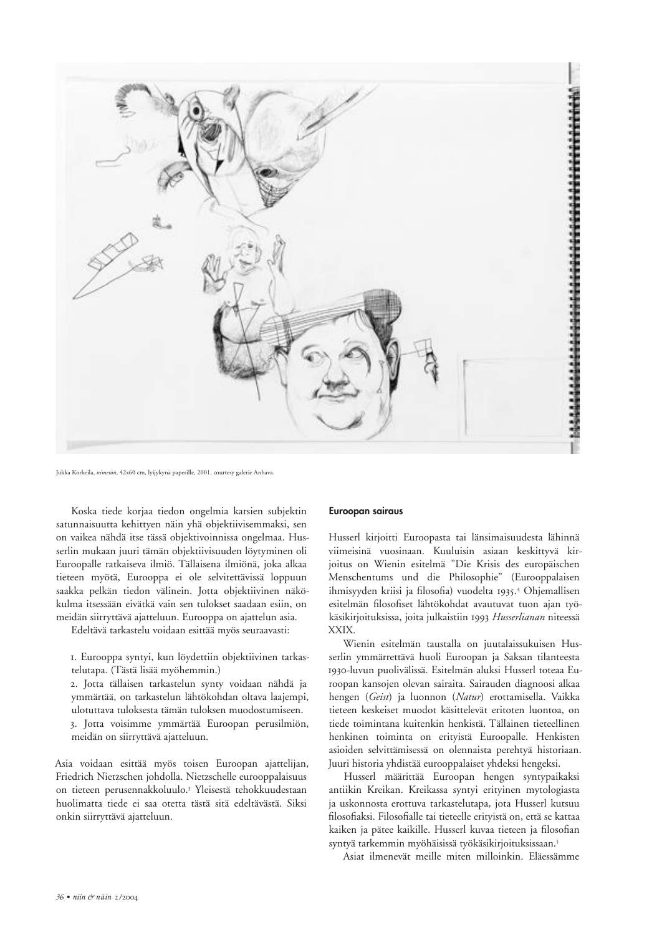

Jukka Korkeila, nimetön, 42x60 cm, lyijykynä paperille, 2001, courtesy galerie Anhava

Koska tiede korjaa tiedon ongelmia karsien subjektin satunnaisuutta kehittyen näin yhä objektiivisemmaksi, sen on vaikea nähdä itse tässä objektivoinnissa ongelmaa. Husserlin mukaan juuri tämän objektiivisuuden löytyminen oli Euroopalle ratkaiseva ilmiö. Tällaisena ilmiönä, joka alkaa tieteen myötä, Eurooppa ei ole selvitettävissä loppuun saakka pelkän tiedon välinein. Jotta objektiivinen näkökulma itsessään eivätkä vain sen tulokset saadaan esiin, on meidän siirryttävä ajatteluun. Eurooppa on ajattelun asia.

Edeltävä tarkastelu voidaan esittää myös seuraavasti:

I. Eurooppa syntyi, kun löydettiin objektiivinen tarkastelutapa. (Tästä lisää myöhemmin.)

2. Jotta tällaisen tarkastelun synty voidaan nähdä ja ymmärtää, on tarkastelun lähtökohdan oltava laajempi, ulotuttava tuloksesta tämän tuloksen muodostumiseen. 3. Jotta voisimme ymmärtää Euroopan perusilmiön, meidän on siirryttävä ajatteluun.

Asia voidaan esittää myös toisen Euroopan ajattelijan, Friedrich Nietzschen johdolla. Nietzschelle eurooppalaisuus on tieteen perusennakkoluulo.<sup>3</sup> Yleisestä tehokkuudestaan huolimatta tiede ei saa otetta tästä sitä edeltävästä. Siksi onkin siirryttävä ajatteluun.

#### Euroopan sairaus

Husserl kirjoitti Euroopasta tai länsimaisuudesta lähinnä viimeisinä vuosinaan. Kuuluisin asiaan keskittyvä kirjoitus on Wienin esitelmä "Die Krisis des europäischen Menschentums und die Philosophie" (Eurooppalaisen ihmisyyden kriisi ja filosofia) vuodelta 1935.<sup>4</sup> Ohjemallisen esitelmän filosofiset lähtökohdat avautuvat tuon ajan työkäsikirjoituksissa, joita julkaistiin 1993 Husserlianan niteessä XXIX.

Wienin esitelmän taustalla on juutalaissukuisen Husserlin ymmärrettävä huoli Euroopan ja Saksan tilanteesta 1930-luvun puolivälissä. Esitelmän aluksi Husserl toteaa Euroopan kansojen olevan sairaita. Sairauden diagnoosi alkaa hengen (Geist) ja luonnon (Natur) erottamisella. Vaikka tieteen keskeiset muodot käsittelevät eritoten luontoa, on tiede toimintana kuitenkin henkistä. Tällainen tieteellinen henkinen toiminta on erityistä Euroopalle. Henkisten asioiden selvittämisessä on olennaista perehtyä historiaan. Juuri historia yhdistää eurooppalaiset yhdeksi hengeksi.

Husserl määrittää Euroopan hengen syntypaikaksi antiikin Kreikan. Kreikassa syntyi erityinen mytologiasta ja uskonnosta erottuva tarkastelutapa, jota Husserl kutsuu filosofiaksi. Filosofialle tai tieteelle erityistä on, että se kattaa kaiken ja pätee kaikille. Husserl kuvaa tieteen ja filosofian syntyä tarkemmin myöhäisissä työkäsikirjoituksissaan.5

Asiat ilmenevät meille miten milloinkin. Eläessämme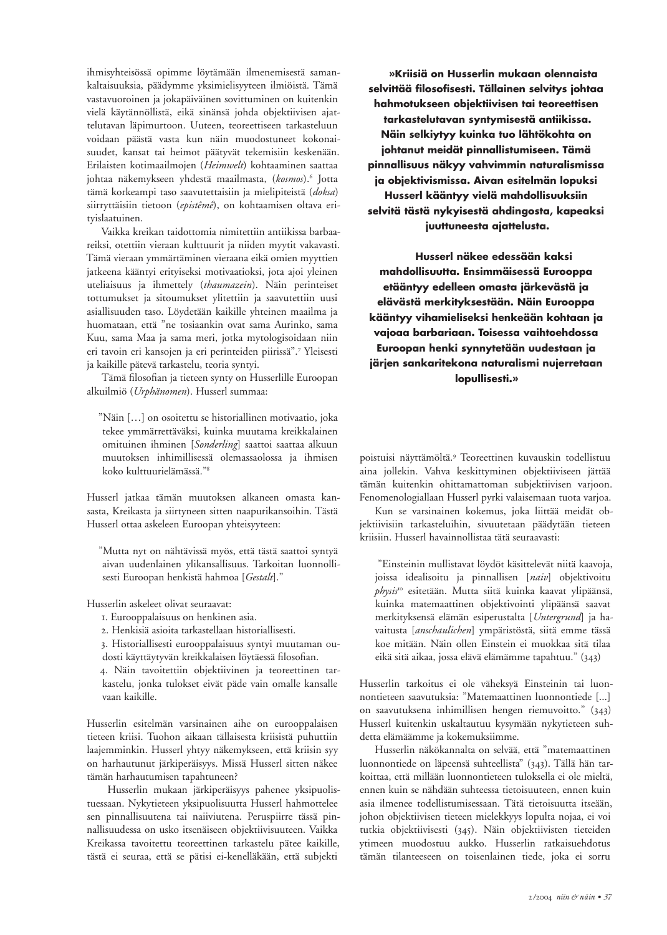ihmisyhteisössä opimme löytämään ilmenemisestä samankaltaisuuksia, päädymme yksimielisyyteen ilmiöistä. Tämä vastavuoroinen ja jokapäiväinen sovittuminen on kuitenkin vielä käytännöllistä, eikä sinänsä johda objektiivisen ajattelutavan läpimurtoon. Uuteen, teoreettiseen tarkasteluun voidaan päästä vasta kun näin muodostuneet kokonaisuudet, kansat tai heimot päätyvät tekemisiin keskenään. Erilaisten kotimaailmojen (Heimwelt) kohtaaminen saattaa johtaa näkemykseen yhdestä maailmasta, (kosmos).<sup>6</sup> Jotta tämä korkeampi taso saavutettaisiin ja mielipiteistä (doksa) siirryttäisiin tietoon (epistêmê), on kohtaamisen oltava eritvislaatuinen.

Vaikka kreikan taidottomia nimitettiin antiikissa barbaareiksi, otettiin vieraan kulttuurit ja niiden myytit vakavasti. Tämä vieraan ymmärtäminen vieraana eikä omien myyttien jatkeena kääntyi erityiseksi motivaatioksi, jota ajoi yleinen uteliaisuus ja ihmettely (thaumazein). Näin perinteiset tottumukset ja sitoumukset ylitettiin ja saavutettiin uusi asiallisuuden taso. Löydetään kaikille yhteinen maailma ja huomataan, että "ne tosiaankin ovat sama Aurinko, sama Kuu, sama Maa ja sama meri, jotka mytologisoidaan niin eri tavoin eri kansojen ja eri perinteiden piirissä".7 Yleisesti ja kaikille pätevä tarkastelu, teoria syntyi.

Tämä filosofian ja tieteen synty on Husserlille Euroopan alkuilmiö (Urphänomen). Husserl summaa:

"Näin [...] on osoitettu se historiallinen motivaatio, joka tekee ymmärrettäväksi, kuinka muutama kreikkalainen omituinen ihminen [Sonderling] saattoi saattaa alkuun muutoksen inhimillisessä olemassaolossa ja ihmisen koko kulttuurielämässä."<sup>8</sup>

Husserl jatkaa tämän muutoksen alkaneen omasta kansasta, Kreikasta ja siirtyneen sitten naapurikansoihin. Tästä Husserl ottaa askeleen Euroopan yhteisyyteen:

"Mutta nyt on nähtävissä myös, että tästä saattoi syntyä aivan uudenlainen ylikansallisuus. Tarkoitan luonnollisesti Euroopan henkistä hahmoa [Gestalt]."

Husserlin askeleet olivat seuraavat:

I. Eurooppalaisuus on henkinen asia.

2. Henkisiä asioita tarkastellaan historiallisesti.

3. Historiallisesti eurooppalaisuus syntyi muutaman oudosti käyttäytyvän kreikkalaisen löytäessä filosofian.

4. Näin tavoitettiin objektiivinen ja teoreettinen tarkastelu, jonka tulokset eivät päde vain omalle kansalle vaan kaikille.

Husserlin esitelmän varsinainen aihe on eurooppalaisen tieteen kriisi. Tuohon aikaan tällaisesta kriisistä puhuttiin laajemminkin. Husserl yhtyy näkemykseen, että kriisin syy on harhautunut järkiperäisyys. Missä Husserl sitten näkee tämän harhautumisen tapahtuneen?

Husserlin mukaan järkiperäisyys pahenee yksipuolistuessaan. Nykytieteen yksipuolisuutta Husserl hahmottelee sen pinnallisuutena tai naiiviutena. Peruspiirre tässä pinnallisuudessa on usko itsenäiseen objektiivisuuteen. Vaikka Kreikassa tavoitettu teoreettinen tarkastelu pätee kaikille, tästä ei seuraa, että se pätisi ei-kenelläkään, että subjekti

»Kriisiä on Husserlin mukaan olennaista selvittää filosofisesti. Tällainen selvitys johtaa hahmotukseen objektiivisen tai teoreettisen tarkastelutavan syntymisestä antiikissa. Näin selkiytyy kuinka tuo lähtökohta on johtanut meidät pinnallistumiseen. Tämä pinnallisuus näkyy vahvimmin naturalismissa ja objektivismissa. Aivan esitelmän lopuksi Husserl kääntyy vielä mahdollisuuksiin selvitä tästä nykyisestä ahdingosta, kapeaksi juuttuneesta ajattelusta.

Husserl näkee edessään kaksi mahdollisuutta. Ensimmäisessä Eurooppa etääntyy edelleen omasta järkevästä ja elävästä merkityksestään. Näin Eurooppa kääntyy vihamieliseksi henkeään kohtaan ja vajoaa barbariaan. Toisessa vaihtoehdossa Euroopan henki synnytetään uudestaan ja järjen sankaritekona naturalismi nujerretaan lopullisesti.»

poistuisi näyttämöltä.<sup>9</sup> Teoreettinen kuvauskin todellistuu aina jollekin. Vahva keskittyminen objektiiviseen jättää tämän kuitenkin ohittamattoman subjektiivisen varjoon. Fenomenologiallaan Husserl pyrki valaisemaan tuota varjoa.

Kun se varsinainen kokemus, joka liittää meidät objektiivisiin tarkasteluihin, sivuutetaan päädytään tieteen kriisiin. Husserl havainnollistaa tätä seuraavasti:

"Einsteinin mullistavat löydöt käsittelevät niitä kaavoja, joissa idealisoitu ja pinnallisen [naiv] objektivoitu physis<sup>10</sup> esitetään. Mutta siitä kuinka kaavat ylipäänsä, kuinka matemaattinen objektivointi ylipäänsä saavat merkityksensä elämän esiperustalta [Untergrund] ja havaitusta [anschaulichen] ympäristöstä, siitä emme tässä koe mitään. Näin ollen Einstein ei muokkaa sitä tilaa eikä sitä aikaa, jossa elävä elämämme tapahtuu." (343)

Husserlin tarkoitus ei ole väheksyä Einsteinin tai luonnontieteen saavutuksia: "Matemaattinen luonnontiede [...] on saavutuksena inhimillisen hengen riemuvoitto." (343) Husserl kuitenkin uskaltautuu kysymään nykytieteen suhdetta elämäämme ja kokemuksiimme.

Husserlin näkökannalta on selvää, että "matemaattinen luonnontiede on läpeensä suhteellista" (343). Tällä hän tarkoittaa, että millään luonnontieteen tuloksella ei ole mieltä, ennen kuin se nähdään suhteessa tietoisuuteen, ennen kuin asia ilmenee todellistumisessaan. Tätä tietoisuutta itseään, johon objektiivisen tieteen mielekkyys lopulta nojaa, ei voi tutkia objektiivisesti (345). Näin objektiivisten tieteiden ytimeen muodostuu aukko. Husserlin ratkaisuehdotus tämän tilanteeseen on toisenlainen tiede, joka ei sorru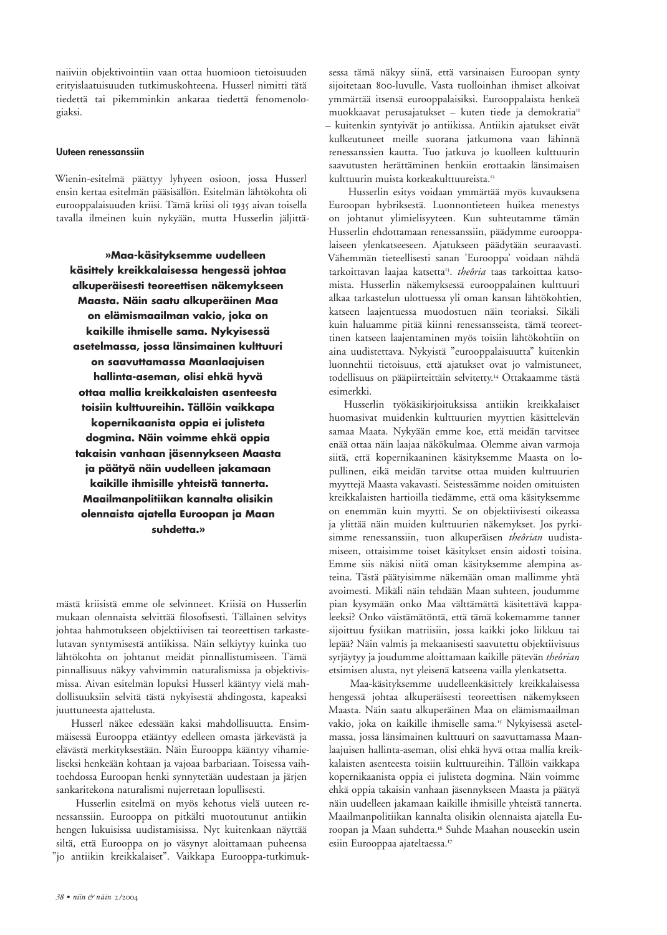naiiviin objektivointiin vaan ottaa huomioon tietoisuuden erityislaatuisuuden tutkimuskohteena. Husserl nimitti tätä tiedettä tai pikemminkin ankaraa tiedettä fenomenologiaksi.

## Uuteen renessanssiin

Wienin-esitelmä päättyy lyhyeen osioon, jossa Husserl ensin kertaa esitelmän pääsisällön. Esitelmän lähtökohta oli eurooppalaisuuden kriisi. Tämä kriisi oli 1935 aivan toisella tavalla ilmeinen kuin nykyään, mutta Husserlin jäljittä-

»Maa-käsityksemme uudelleen käsittely kreikkalaisessa hengessä johtaa alkuperäisesti teoreettisen näkemykseen Maasta. Näin saatu alkuperäinen Maa on elämismaailman vakio, joka on kaikille ihmiselle sama. Nykyisessä asetelmassa, jossa länsimainen kulttuuri on saavuttamassa Maanlaajuisen hallinta-aseman, olisi ehkä hyvä ottaa mallia kreikkalaisten asenteesta toisiin kulttuureihin. Tällöin vaikkapa kopernikaanista oppia ei julisteta dogmina. Näin voimme ehkä oppia takaisin vanhaan jäsennykseen Maasta ja päätyä näin uudelleen jakamaan kaikille ihmisille yhteistä tannerta. Maailmanpolitiikan kannalta olisikin olennaista ajatella Euroopan ja Maan suhdetta.»

mästä kriisistä emme ole selvinneet. Kriisiä on Husserlin mukaan olennaista selvittää filosofisesti. Tällainen selvitys johtaa hahmotukseen objektiivisen tai teoreettisen tarkastelutavan syntymisestä antiikissa. Näin selkiytyy kuinka tuo lähtökohta on johtanut meidät pinnallistumiseen. Tämä pinnallisuus näkyy vahvimmin naturalismissa ja objektivismissa. Aivan esitelmän lopuksi Husserl kääntyy vielä mahdollisuuksiin selvitä tästä nykyisestä ahdingosta, kapeaksi juuttuneesta ajattelusta.

Husserl näkee edessään kaksi mahdollisuutta. Ensimmäisessä Eurooppa etääntyy edelleen omasta järkevästä ja elävästä merkityksestään. Näin Eurooppa kääntyy vihamieliseksi henkeään kohtaan ja vajoaa barbariaan. Toisessa vaihtoehdossa Euroopan henki synnytetään uudestaan ja järjen sankaritekona naturalismi nujerretaan lopullisesti.

Husserlin esitelmä on myös kehotus vielä uuteen renessanssiin. Eurooppa on pitkälti muotoutunut antiikin hengen lukuisissa uudistamisissa. Nyt kuitenkaan näyttää siltä, että Eurooppa on jo väsynyt aloittamaan puheensa "jo antiikin kreikkalaiset". Vaikkapa Eurooppa-tutkimuk-

sessa tämä näkyy siinä, että varsinaisen Euroopan synty sijoitetaan 800-luvulle. Vasta tuolloinhan ihmiset alkoivat ymmärtää itsensä eurooppalaisiksi. Eurooppalaista henkeä muokkaavat perusajatukset - kuten tiede ja demokratia<sup>n</sup> - kuitenkin syntyivät jo antiikissa. Antiikin ajatukset eivät kulkeutuneet meille suorana jatkumona vaan lähinnä renessanssien kautta. Tuo jatkuva jo kuolleen kulttuurin saavutusten herättäminen henkiin erottaakin länsimaisen kulttuurin muista korkeakulttuureista.<sup>12</sup>

Husserlin esitys voidaan ymmärtää myös kuvauksena Euroopan hybriksestä. Luonnontieteen huikea menestys on johtanut ylimielisyyteen. Kun suhteutamme tämän Husserlin ehdottamaan renessanssiin, päädymme eurooppalaiseen ylenkatseeseen. Ajatukseen päädytään seuraavasti. Vähemmän tieteellisesti sanan 'Eurooppa' voidaan nähdä tarkoittavan laajaa katsetta<sup>13</sup>. theôria taas tarkoittaa katsomista. Husserlin näkemyksessä eurooppalainen kulttuuri alkaa tarkastelun ulottuessa yli oman kansan lähtökohtien, katseen laajentuessa muodostuen näin teoriaksi. Sikäli kuin haluamme pitää kiinni renessansseista, tämä teoreettinen katseen laajentaminen myös toisiin lähtökohtiin on aina uudistettava. Nykyistä "eurooppalaisuutta" kuitenkin luonnehtii tietoisuus, että ajatukset ovat jo valmistuneet, todellisuus on pääpiirteittäin selvitetty.<sup>14</sup> Ottakaamme tästä esimerkki.

Husserlin työkäsikirjoituksissa antiikin kreikkalaiset huomasivat muidenkin kulttuurien myyttien käsittelevän samaa Maata. Nykyään emme koe, että meidän tarvitsee enää ottaa näin laajaa näkökulmaa. Olemme aivan varmoja siitä, että kopernikaaninen käsityksemme Maasta on lopullinen, eikä meidän tarvitse ottaa muiden kulttuurien myyttejä Maasta vakavasti. Seistessämme noiden omituisten kreikkalaisten hartioilla tiedämme, että oma käsityksemme on enemmän kuin myytti. Se on objektiivisesti oikeassa ja ylittää näin muiden kulttuurien näkemykset. Jos pyrkisimme renessanssiin, tuon alkuperäisen theôrian uudistamiseen, ottaisimme toiset käsitykset ensin aidosti toisina. Emme siis näkisi niitä oman käsityksemme alempina asteina. Tästä päätyisimme näkemään oman mallimme yhtä avoimesti. Mikäli näin tehdään Maan suhteen, joudumme pian kysymään onko Maa välttämättä käsitettävä kappaleeksi? Onko väistämätöntä, että tämä kokemamme tanner sijoittuu fysiikan matriisiin, jossa kaikki joko liikkuu tai lepää? Näin valmis ja mekaanisesti saavutettu objektiivisuus syrjäytyy ja joudumme aloittamaan kaikille pätevän theôrian etsimisen alusta, nyt yleisenä katseena vailla ylenkatsetta.

Maa-käsityksemme uudelleenkäsittely kreikkalaisessa hengessä johtaa alkuperäisesti teoreettisen näkemykseen Maasta. Näin saatu alkuperäinen Maa on elämismaailman vakio, joka on kaikille ihmiselle sama.<sup>15</sup> Nykyisessä asetelmassa, jossa länsimainen kulttuuri on saavuttamassa Maanlaajuisen hallinta-aseman, olisi ehkä hyvä ottaa mallia kreikkalaisten asenteesta toisiin kulttuureihin. Tällöin vaikkapa kopernikaanista oppia ei julisteta dogmina. Näin voimme ehkä oppia takaisin vanhaan jäsennykseen Maasta ja päätyä näin uudelleen jakamaan kaikille ihmisille yhteistä tannerta. Maailmanpolitiikan kannalta olisikin olennaista ajatella Euroopan ja Maan suhdetta.<sup>16</sup> Suhde Maahan nouseekin usein esiin Eurooppaa ajateltaessa.<sup>17</sup>